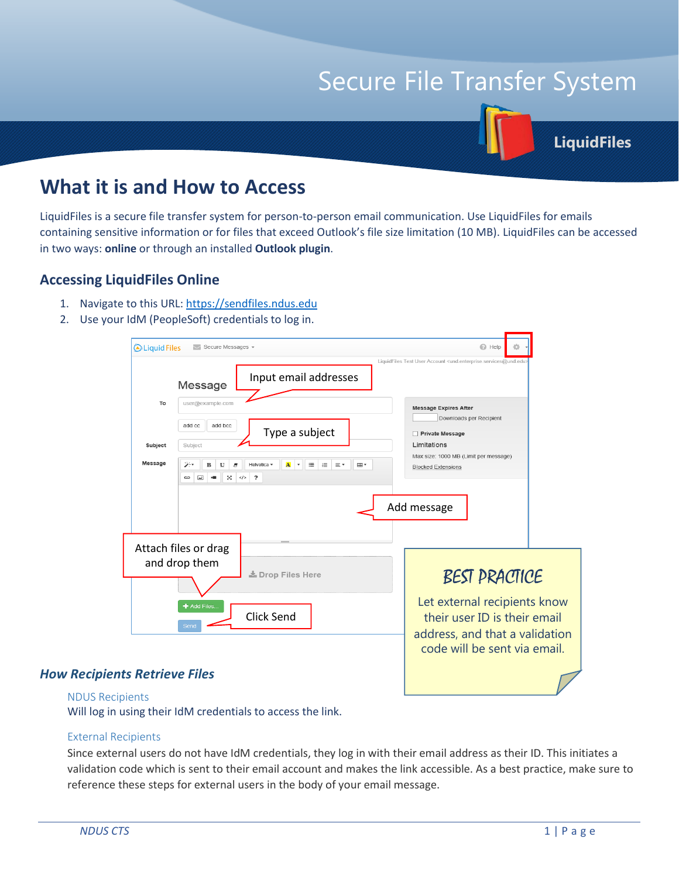# Secure File Transfer System

**LiquidFiles**

# **What it is and How to Access**

LiquidFiles is a secure file transfer system for person-to-person email communication. Use LiquidFiles for emails containing sensitive information or for files that exceed Outlook's file size limitation (10 MB). LiquidFiles can be accessed in two ways: **online** or through an installed **Outlook plugin**.

## **Accessing LiquidFiles Online**

- 1. Navigate to this URL: [https://sendfiles.ndus.edu](https://sendfiles.ndus.edu/)
- 2. Use your IdM (PeopleSoft) credentials to log in.

| <b>Aliquid Files</b><br>$\odot$ Help<br>$\vee$ Secure Messages $\sim$                                                                                                                                                                                                                                                                  |  |
|----------------------------------------------------------------------------------------------------------------------------------------------------------------------------------------------------------------------------------------------------------------------------------------------------------------------------------------|--|
| LiquidFiles Test User Account <und.enterprise.services@und.edu><br/>Input email addresses<br/>Message<br/>To<br/>user@example.com<br/><b>Message Expires After</b><br/>Downloads per Recipient<br/>add cc<br/>add bcc<br/>Type a subject<br/>Private Message<br/>Limitations<br/>Subject<br/>Subject</und.enterprise.services@und.edu> |  |
| Max size: 1000 MB (Limit per message)<br>Message<br>ويخر<br>Helvetica v<br>洼<br>B<br>$\underline{\mathtt{U}}$<br>$\mathbf{A}$<br>這<br>⊞ ▼<br><b>A</b><br>$\pmb{\mathrm{v}}$<br>Ξ۲<br><b>Blocked Extensions</b><br>$\overline{\cdot}$<br>×<br>$\lt/$<br>GĐ<br>$\overline{\phantom{a}}$<br>Add message                                   |  |
| Attach files or drag<br>and drop them<br><b>BEST PRACTICE</b><br><b>上</b> Drop Files Here<br>Let external recipients know<br>Add Files<br><b>Click Send</b><br>their user ID is their email<br>Send                                                                                                                                    |  |
| address, and that a validation<br>code will be sent via email.                                                                                                                                                                                                                                                                         |  |

#### *How Recipients Retrieve Files*

#### NDUS Recipients

Will log in using their IdM credentials to access the link.

#### External Recipients

Since external users do not have IdM credentials, they log in with their email address as their ID. This initiates a validation code which is sent to their email account and makes the link accessible. As a best practice, make sure to reference these steps for external users in the body of your email message.